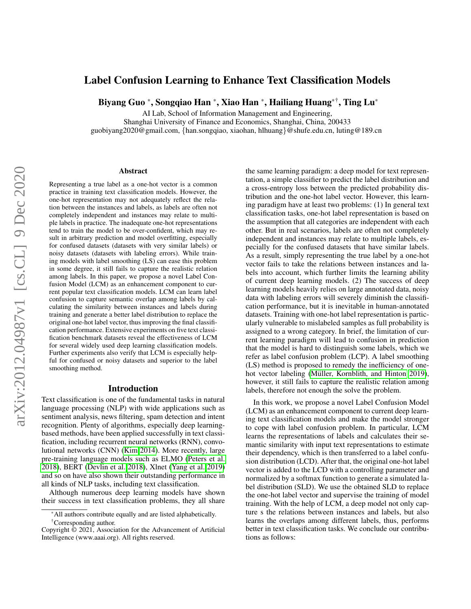# Label Confusion Learning to Enhance Text Classification Models

Biyang Guo \*, Songqiao Han \*, Xiao Han \*, Hailiang Huang\*† , Ting Lu\*

AI Lab, School of Information Management and Engineering,

Shanghai University of Finance and Economics, Shanghai, China, 200433

guobiyang2020@gmail.com, {han.songqiao, xiaohan, hlhuang}@shufe.edu.cn, luting@189.cn

#### Abstract

<span id="page-0-0"></span>Representing a true label as a one-hot vector is a common practice in training text classification models. However, the one-hot representation may not adequately reflect the relation between the instances and labels, as labels are often not completely independent and instances may relate to multiple labels in practice. The inadequate one-hot representations tend to train the model to be over-confident, which may result in arbitrary prediction and model overfitting, especially for confused datasets (datasets with very similar labels) or noisy datasets (datasets with labeling errors). While training models with label smoothing (LS) can ease this problem in some degree, it still fails to capture the realistic relation among labels. In this paper, we propose a novel Label Confusion Model (LCM) as an enhancement component to current popular text classification models. LCM can learn label confusion to capture semantic overlap among labels by calculating the similarity between instances and labels during training and generate a better label distribution to replace the original one-hot label vector, thus improving the final classification performance. Extensive experiments on five text classification benchmark datasets reveal the effectiveness of LCM for several widely used deep learning classification models. Further experiments also verify that LCM is especially helpful for confused or noisy datasets and superior to the label smoothing method.

## Introduction

Text classification is one of the fundamental tasks in natural language processing (NLP) with wide applications such as sentiment analysis, news filtering, spam detection and intent recognition. Plenty of algorithms, especially deep learningbased methods, have been applied successfully in text classification, including recurrent neural networks (RNN), convolutional networks (CNN) [\(Kim 2014\)](#page-7-0). More recently, large pre-training language models such as ELMO [\(Peters et al.](#page-7-1) [2018\)](#page-7-1), BERT [\(Devlin et al. 2018\)](#page-7-2), Xlnet [\(Yang et al. 2019\)](#page-7-3) and so on have also shown their outstanding performance in all kinds of NLP tasks, including text classification.

Although numerous deep learning models have shown their success in text classification problems, they all share the same learning paradigm: a deep model for text representation, a simple classifier to predict the label distribution and a cross-entropy loss between the predicted probability distribution and the one-hot label vector. However, this learning paradigm have at least two problems: (1) In general text classification tasks, one-hot label representation is based on the assumption that all categories are independent with each other. But in real scenarios, labels are often not completely independent and instances may relate to multiple labels, especially for the confused datasets that have similar labels. As a result, simply representing the true label by a one-hot vector fails to take the relations between instances and labels into account, which further limits the learning ability of current deep learning models. (2) The success of deep learning models heavily relies on large annotated data, noisy data with labeling errors will severely diminish the classification performance, but it is inevitable in human-annotated datasets. Training with one-hot label representation is particularly vulnerable to mislabeled samples as full probability is assigned to a wrong category. In brief, the limitation of current learning paradigm will lead to confusion in prediction that the model is hard to distinguish some labels, which we refer as label confusion problem (LCP). A label smoothing (LS) method is proposed to remedy the inefficiency of onehot vector labeling (Müller, Kornblith, and Hinton 2019), however, it still fails to capture the realistic relation among labels, therefore not enough the solve the problem.

In this work, we propose a novel Label Confusion Model (LCM) as an enhancement component to current deep learning text classification models and make the model stronger to cope with label confusion problem. In particular, LCM learns the representations of labels and calculates their semantic similarity with input text representations to estimate their dependency, which is then transferred to a label confusion distribution (LCD). After that, the original one-hot label vector is added to the LCD with a controlling parameter and normalized by a softmax function to generate a simulated label distribution (SLD). We use the obtained SLD to replace the one-hot label vector and supervise the training of model training. With the help of LCM, a deep model not only capture s the relations between instances and labels, but also learns the overlaps among different labels, thus, performs better in text classification tasks. We conclude our contributions as follows:

<sup>\*</sup>All authors contribute equally and are listed alphabetically. †Corresponding author.

Copyright © 2021, Association for the Advancement of Artificial Intelligence (www.aaai.org). All rights reserved.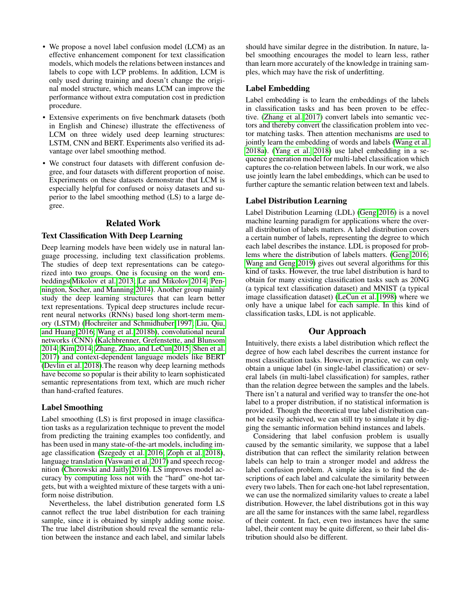- We propose a novel label confusion model (LCM) as an effective enhancement component for text classification models, which models the relations between instances and labels to cope with LCP problems. In addition, LCM is only used during training and doesn't change the original model structure, which means LCM can improve the performance without extra computation cost in prediction procedure.
- Extensive experiments on five benchmark datasets (both in English and Chinese) illustrate the effectiveness of LCM on three widely used deep learning structures: LSTM, CNN and BERT. Experiments also verified its advantage over label smoothing method.
- We construct four datasets with different confusion degree, and four datasets with different proportion of noise. Experiments on these datasets demonstrate that LCM is especially helpful for confused or noisy datasets and superior to the label smoothing method (LS) to a large degree.

# Related Work

# Text Classification With Deep Learning

Deep learning models have been widely use in natural language processing, including text classification problems. The studies of deep text representations can be categorized into two groups. One is focusing on the word embeddings[\(Mikolov et al. 2013;](#page-7-5) [Le and Mikolov 2014;](#page-7-6) [Pen](#page-7-7)[nington, Socher, and Manning 2014\)](#page-7-7). Another group mainly study the deep learning structures that can learn better text representations. Typical deep structures include recurrent neural networks (RNNs) based long short-term memory (LSTM) [\(Hochreiter and Schmidhuber 1997;](#page-7-8) [Liu, Qiu,](#page-7-9) [and Huang 2016;](#page-7-9) [Wang et al. 2018b\)](#page-7-10), convolutional neural networks (CNN) [\(Kalchbrenner, Grefenstette, and Blunsom](#page-7-11) [2014;](#page-7-11) [Kim 2014;](#page-7-0) [Zhang, Zhao, and LeCun 2015;](#page-7-12) [Shen et al.](#page-7-13) [2017\)](#page-7-13) and context-dependent language models like BERT [\(Devlin et al. 2018\)](#page-7-2).The reason why deep learning methods have become so popular is their ability to learn sophisticated semantic representations from text, which are much richer than hand-crafted features.

### Label Smoothing

Label smoothing (LS) is first proposed in image classification tasks as a regularization technique to prevent the model from predicting the training examples too confidently, and has been used in many state-of-the-art models, including image classification [\(Szegedy et al. 2016;](#page-7-14) [Zoph et al. 2018\)](#page-7-15), language translation [\(Vaswani et al. 2017\)](#page-7-16) and speech recognition [\(Chorowski and Jaitly 2016\)](#page-7-17). LS improves model accuracy by computing loss not with the "hard" one-hot targets, but with a weighted mixture of these targets with a uniform noise distribution.

Nevertheless, the label distribution generated form LS cannot reflect the true label distribution for each training sample, since it is obtained by simply adding some noise. The true label distribution should reveal the semantic relation between the instance and each label, and similar labels

should have similar degree in the distribution. In nature, label smoothing encourages the model to learn less, rather than learn more accurately of the knowledge in training samples, which may have the risk of underfitting.

### Label Embedding

Label embedding is to learn the embeddings of the labels in classification tasks and has been proven to be effective. [\(Zhang et al. 2017\)](#page-7-18) convert labels into semantic vectors and thereby convert the classification problem into vector matching tasks. Then attention mechanisms are used to jointly learn the embedding of words and labels [\(Wang et al.](#page-7-19) [2018a\)](#page-7-19). [\(Yang et al. 2018\)](#page-7-20) use label embedding in a sequence generation model for multi-label classification which captures the co-relation between labels. In our work, we also use jointly learn the label embeddings, which can be used to further capture the semantic relation between text and labels.

# Label Distribution Learning

Label Distribution Learning (LDL) [\(Geng 2016\)](#page-7-21) is a novel machine learning paradigm for applications where the overall distribution of labels matters. A label distribution covers a certain number of labels, representing the degree to which each label describes the instance. LDL is proposed for problems where the distribution of labels matters. [\(Geng 2016;](#page-7-21) [Wang and Geng 2019\)](#page-7-22) gives out several algorithms for this kind of tasks. However, the true label distribution is hard to obtain for many existing classification tasks such as 20NG (a typical text classification dataset) and MNIST (a typical image classification dataset) [\(LeCun et al. 1998\)](#page-7-23) where we only have a unique label for each sample. In this kind of classification tasks, LDL is not applicable.

# Our Approach

Intuitively, there exists a label distribution which reflect the degree of how each label describes the current instance for most classification tasks. However, in practice, we can only obtain a unique label (in single-label classification) or several labels (in multi-label classification) for samples, rather than the relation degree between the samples and the labels. There isn't a natural and verified way to transfer the one-hot label to a proper distribution, if no statistical information is provided. Though the theoretical true label distribution cannot be easily achieved, we can still try to simulate it by digging the semantic information behind instances and labels.

Considering that label confusion problem is usually caused by the semantic similarity, we suppose that a label distribution that can reflect the similarity relation between labels can help to train a stronger model and address the label confusion problem. A simple idea is to find the descriptions of each label and calculate the similarity between every two labels. Then for each one-hot label representation, we can use the normalized similarity values to create a label distribution. However, the label distributions got in this way are all the same for instances with the same label, regardless of their content. In fact, even two instances have the same label, their content may be quite different, so their label distribution should also be different.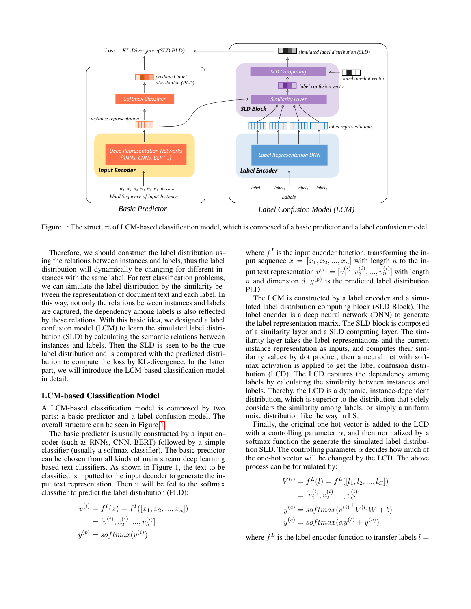<span id="page-2-0"></span>

Figure 1: The structure of LCM-based classification model, which is composed of a basic predictor and a label confusion model.

Therefore, we should construct the label distribution using the relations between instances and labels, thus the label distribution will dynamically be changing for different instances with the same label. For text classification problems, we can simulate the label distribution by the similarity between the representation of document text and each label. In this way, not only the relations between instances and labels are captured, the dependency among labels is also reflected by these relations. With this basic idea, we designed a label confusion model (LCM) to learn the simulated label distribution (SLD) by calculating the semantic relations between instances and labels. Then the SLD is seen to be the true label distribution and is compared with the predicted distribution to compute the loss by KL-divergence. In the latter part, we will introduce the LCM-based classification model in detail.

#### LCM-based Classification Model

A LCM-based classification model is composed by two parts: a basic predictor and a label confusion model. The overall structure can be seen in Figure [1.](#page-2-0)

The basic predictor is usually constructed by a input encoder (such as RNNs, CNN, BERT) followed by a simple classifier (usually a softmax classifier). The basic predictor can be chosen from all kinds of main stream deep learning based text classifiers. As shown in Figure 1, the text to be classified is inputted to the input decoder to generate the input text representation. Then it will be fed to the softmax classifier to predict the label distribution (PLD):

$$
v^{(i)} = f^{I}(x) = f^{I}([x_{1}, x_{2}, ..., x_{n}])
$$
  
=  $[v_{1}^{(i)}, v_{2}^{(i)}, ..., v_{n}^{(i)}]$   

$$
y^{(p)} = softmax(v^{(i)})
$$

where  $f<sup>I</sup>$  is the input encoder function, transforming the input sequence  $x = [x_1, x_2, ..., x_n]$  with length n to the input text representation  $v^{(i)} = [v_1^{(i)}, v_2^{(i)}, ..., v_n^{(i)}]$  with length n and dimension d.  $y^{(p)}$  is the predicted label distribution PLD.

The LCM is constructed by a label encoder and a simulated label distribution computing block (SLD Block). The label encoder is a deep neural network (DNN) to generate the label representation matrix. The SLD block is composed of a similarity layer and a SLD computing layer. The similarity layer takes the label representations and the current instance representation as inputs, and computes their similarity values by dot product, then a neural net with softmax activation is applied to get the label confusion distribution (LCD). The LCD captures the dependency among labels by calculating the similarity between instances and labels. Thereby, the LCD is a dynamic, instance-dependent distribution, which is superior to the distribution that solely considers the similarity among labels, or simply a uniform noise distribution like the way in LS.

Finally, the original one-hot vector is added to the LCD with a controlling parameter  $\alpha$ , and then normalized by a softmax function the generate the simulated label distribution SLD. The controlling parameter  $\alpha$  decides how much of the one-hot vector will be changed by the LCD. The above process can be formulated by:

$$
V^{(l)} = f^{L}(l) = f^{L}([l_1, l_2, ..., l_C])
$$
  
=  $[v_1^{(l)}, v_2^{(l)}, ..., v_C^{(l)}]$   

$$
y^{(c)} = softmax(v^{(i)}^{\top}V^{(l)}W + b)
$$
  

$$
y^{(s)} = softmax(\alpha y^{(t)} + y^{(c)})
$$

where  $f^L$  is the label encoder function to transfer labels  $l =$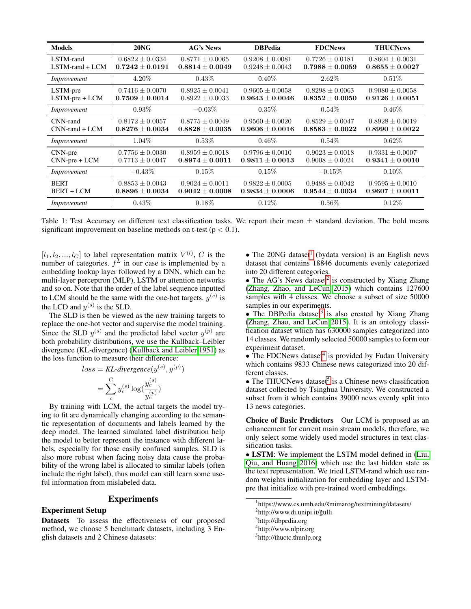<span id="page-3-5"></span>

| <b>Models</b>                     | $20N$ G                                    | <b>AG's News</b>                           | <b>DBPedia</b>                             | <b>FDCNews</b>                             | <b>THUCNews</b>                            |
|-----------------------------------|--------------------------------------------|--------------------------------------------|--------------------------------------------|--------------------------------------------|--------------------------------------------|
| LSTM-rand<br>$LSTM$ -rand + $LCM$ | $0.6822 \pm 0.0334$<br>$0.7242 \pm 0.0191$ | $0.8771 \pm 0.0065$<br>$0.8814 + 0.0049$   | $0.9208 \pm 0.0081$<br>$0.9248 \pm 0.0043$ | $0.7726 \pm 0.0181$<br>$0.7988 + 0.0059$   | $0.8604 \pm 0.0031$<br>$0.8655 \pm 0.0027$ |
| Improvement                       | $4.20\%$                                   | $0.43\%$                                   | $0.40\%$                                   | $2.62\%$                                   | $0.51\%$                                   |
| LSTM-pre<br>$LSTM-pre + LCM$      | $0.7416 \pm 0.0070$<br>$0.7509 \pm 0.0014$ | $0.8925 \pm 0.0041$<br>$0.8922 \pm 0.0033$ | $0.9605 \pm 0.0058$<br>$0.9643 \pm 0.0046$ | $0.8298 \pm 0.0063$<br>$0.8352 \pm 0.0050$ | $0.9080 \pm 0.0058$<br>$0.9126 \pm 0.0051$ |
| Improvement                       | $0.93\%$                                   | $-0.03\%$                                  | $0.35\%$                                   | $0.54\%$                                   | $0.46\%$                                   |
| CNN-rand<br>$CNN$ -rand + $LCM$   | $0.8172 \pm 0.0057$<br>$0.8276 \pm 0.0034$ | $0.8775 \pm 0.0049$<br>$0.8828 \pm 0.0035$ | $0.9560 \pm 0.0020$<br>$0.9606 \pm 0.0016$ | $0.8529 \pm 0.0047$<br>$0.8583 \pm 0.0022$ | $0.8928 \pm 0.0019$<br>$0.8990 \pm 0.0022$ |
| Improvement                       | $1.04\%$                                   | $0.53\%$                                   | $0.46\%$                                   | $0.54\%$                                   | $0.62\%$                                   |
| CNN-pre<br>$CNN-pre + LCM$        | $0.7756 \pm 0.0030$<br>$0.7713 \pm 0.0047$ | $0.8959 \pm 0.0018$<br>$0.8974 \pm 0.0011$ | $0.9796 \pm 0.0010$<br>$0.9811 \pm 0.0013$ | $0.9023 \pm 0.0018$<br>$0.9008 \pm 0.0024$ | $0.9331 \pm 0.0007$<br>$0.9341 \pm 0.0010$ |
| Improvement                       | $-0.43\%$                                  | $0.15\%$                                   | $0.15\%$                                   | $-0.15\%$                                  | $0.10\%$                                   |
| <b>BERT</b><br><b>BERT + LCM</b>  | $0.8853 \pm 0.0043$<br>$0.8896 \pm 0.0034$ | $0.9024 \pm 0.0011$<br>$0.9042 \pm 0.0008$ | $0.9822 \pm 0.0005$<br>$0.9834 \pm 0.0006$ | $0.9488 \pm 0.0042$<br>$0.9544 \pm 0.0034$ | $0.9595 \pm 0.0010$<br>$0.9607 \pm 0.0011$ |
| Improvement                       | $0.43\%$                                   | $0.18\%$                                   | $0.12\%$                                   | $0.56\%$                                   | $0.12\%$                                   |

Table 1: Test Accuracy on different text classification tasks. We report their mean  $\pm$  standard deviation. The bold means significant improvement on baseline methods on t-test ( $p < 0.1$ ).

 $[l_1, l_2, ..., l_C]$  to label representation matrix  $V^{(l)}$ , C is the number of categories.  $f^L$  in our case is implemented by a embedding lookup layer followed by a DNN, which can be multi-layer perceptron (MLP), LSTM or attention networks and so on. Note that the order of the label sequence inputted to LCM should be the same with the one-hot targets.  $y^{(c)}$  is the LCD and  $y^{(s)}$  is the SLD.

The SLD is then be viewed as the new training targets to replace the one-hot vector and supervise the model training. Since the SLD  $y^{(s)}$  and the predicted label vector  $y^{(p)}$  are both probability distributions, we use the Kullback–Leibler divergence (KL-divergence) [\(Kullback and Leibler 1951\)](#page-7-24) as the loss function to measure their difference:

$$
loss = KL-divergence(y^{(s)}, y^{(p)})
$$

$$
= \sum_{c}^{C} y_c^{(s)} \log(\frac{y_c^{(s)}}{y_c^{(p)}})
$$

By training with LCM, the actual targets the model trying to fit are dynamically changing according to the semantic representation of documents and labels learned by the deep model. The learned simulated label distribution help the model to better represent the instance with different labels, especially for those easily confused samples. SLD is also more robust when facing noisy data cause the probability of the wrong label is allocated to similar labels (often include the right label), thus model can still learn some useful information from mislabeled data.

#### Experiments

## Experiment Setup

Datasets To assess the effectiveness of our proposed method, we choose 5 benchmark datasets, including 3 English datasets and 2 Chinese datasets:

 $\bullet$  The 20NG dataset<sup>[1](#page-3-0)</sup> (bydata version) is an English news dataset that contains 18846 documents evenly categorized into 20 different categories.

• The AG's News dataset<sup>[2](#page-3-1)</sup> is constructed by Xiang Zhang [\(Zhang, Zhao, and LeCun 2015\)](#page-7-12) which contains 127600 samples with 4 classes. We choose a subset of size 50000 samples in our experiments.

 $\bullet$  The DBPedia dataset<sup>[3](#page-3-2)</sup> is also created by Xiang Zhang [\(Zhang, Zhao, and LeCun 2015\)](#page-7-12). It is an ontology classification dataset which has 630000 samples categorized into 14 classes. We randomly selected 50000 samples to form our experiment dataset.

 $\bullet$  The FDCNews dataset<sup>[4](#page-3-3)</sup> is provided by Fudan University which contains 9833 Chinese news categorized into 20 different classes.

• The THUCNews dataset<sup>[5](#page-3-4)</sup> is a Chinese news classification dataset collected by Tsinghua University. We constructed a subset from it which contains 39000 news evenly split into 13 news categories.

Choice of Basic Predictors Our LCM is proposed as an enhancement for current main stream models, therefore, we only select some widely used model structures in text classification tasks.

• LSTM: We implement the LSTM model defined in [\(Liu,](#page-7-9) [Qiu, and Huang 2016\)](#page-7-9) which use the last hidden state as the text representation. We tried LSTM-rand which use random weights initialization for embedding layer and LSTMpre that initialize with pre-trained word embeddings.

<span id="page-3-0"></span><sup>&</sup>lt;sup>1</sup>https://www.cs.umb.edu/smimarog/textmining/datasets/

<span id="page-3-1"></span><sup>&</sup>lt;sup>2</sup>http://www.di.unipi.it/gulli

<span id="page-3-2"></span><sup>3</sup> http://dbpedia.org

<span id="page-3-3"></span><sup>4</sup> http://www.nlpir.org

<span id="page-3-4"></span><sup>5</sup> http://thuctc.thunlp.org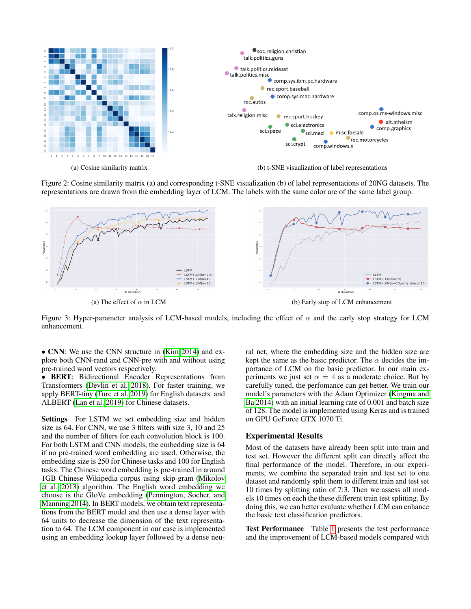<span id="page-4-0"></span>

Figure 2: Cosine similarity matrix (a) and corresponding t-SNE visualization (b) of label representations of 20NG datasets. The representations are drawn from the embedding layer of LCM. The labels with the same color are of the same label group.

<span id="page-4-1"></span>

Figure 3: Hyper-parameter analysis of LCM-based models, including the effect of  $\alpha$  and the early stop strategy for LCM enhancement.

• CNN: We use the CNN structure in [\(Kim 2014\)](#page-7-0) and explore both CNN-rand and CNN-pre with and without using pre-trained word vectors respectively.

• BERT: Bidirectional Encoder Representations from Transformers [\(Devlin et al. 2018\)](#page-7-2). For faster training, we apply BERT-tiny [\(Turc et al. 2019\)](#page-7-25) for English datasets. and ALBERT [\(Lan et al. 2019\)](#page-7-26) for Chinese datasets.

Settings For LSTM we set embedding size and hidden size as 64. For CNN, we use 3 filters with size 3, 10 and 25 and the number of filters for each convolution block is 100. For both LSTM and CNN models, the embedding size is 64 if no pre-trained word embedding are used. Otherwise, the embedding size is 250 for Chinese tasks and 100 for English tasks. The Chinese word embedding is pre-trained in around 1GB Chinese Wikipedia corpus using skip-gram [\(Mikolov](#page-7-5) [et al. 2013\)](#page-7-5) algorithm. The English word embedding we choose is the GloVe embedding [\(Pennington, Socher, and](#page-7-7) [Manning 2014\)](#page-7-7). In BERT models, we obtain text representations from the BERT model and then use a dense layer with 64 units to decrease the dimension of the text representation to 64. The LCM component in our case is implemented using an embedding lookup layer followed by a dense neural net, where the embedding size and the hidden size are kept the same as the basic predictor. The  $\alpha$  decides the importance of LCM on the basic predictor. In our main experiments we just set  $\alpha = 4$  as a moderate choice. But by carefully tuned, the perfomance can get better. We train our model's parameters with the Adam Optimizer [\(Kingma and](#page-7-27) [Ba 2014\)](#page-7-27) with an initial learning rate of 0.001 and batch size of 128. The model is implemented using Keras and is trained on GPU GeForce GTX 1070 Ti.

#### Experimental Results

Most of the datasets have already been split into train and test set. However the different split can directly affect the final performance of the model. Therefore, in our experiments, we combine the separated train and test set to one dataset and randomly split them to different train and test set 10 times by splitting ratio of 7:3. Then we assess all models 10 times on each the these different train test splitting. By doing this, we can better evaluate whether LCM can enhance the basic text classification predictors.

Test Performance Table [1](#page-3-5) presents the test performance and the improvement of LCM-based models compared with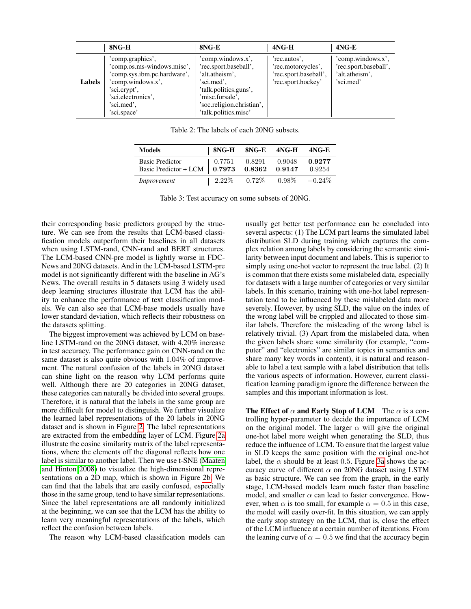<span id="page-5-0"></span>

|               | 8NG-H                                                                                                                                                                 | 8NG-E                                                                                                                                                                       | $4NG-H$                                                                           | $4NG-E$                                                                   |
|---------------|-----------------------------------------------------------------------------------------------------------------------------------------------------------------------|-----------------------------------------------------------------------------------------------------------------------------------------------------------------------------|-----------------------------------------------------------------------------------|---------------------------------------------------------------------------|
| <b>Labels</b> | 'comp.graphics',<br>'comp.os.ms-windows.misc',<br>'comp.sys.ibm.pc.hardware',<br>'comp.windows.x',<br>'sci.crypt',<br>'sci.electronics'.<br>'sci.med',<br>'sci.space' | 'comp.windows.x',<br>'rec.sport.baseball',<br>'alt.atheism',<br>'sci.med',<br>'talk.politics.guns',<br>'misc.forsale',<br>'soc.religion.christian',<br>'talk.politics.misc' | 'rec.autos',<br>'rec.motorcycles',<br>'rec.sport.baseball',<br>'rec.sport.hockey' | 'comp.windows.x',<br>'rec.sport.baseball',<br>'alt.atheism',<br>'sci.med' |

Table 2: The labels of each 20NG subsets.

| <b>Models</b>                                                          |          | 8NG-H 8NG-E 4NG-H |          | $4NG-E$          |
|------------------------------------------------------------------------|----------|-------------------|----------|------------------|
| <b>Basic Predictor</b><br>Basic Predictor + LCM   0.7973 0.8362 0.9147 | 0.7751   | 0.8291            | 0.9048   | 0.9277<br>0.9254 |
| Improvement                                                            | $2.22\%$ | $0.72\%$          | $0.98\%$ | $-0.24\%$        |

Table 3: Test accuracy on some subsets of 20NG.

<span id="page-5-1"></span>their corresponding basic predictors grouped by the structure. We can see from the results that LCM-based classification models outperform their baselines in all datasets when using LSTM-rand, CNN-rand and BERT structures. The LCM-based CNN-pre model is lightly worse in FDC-News and 20NG datasets. And in the LCM-based LSTM-pre model is not significantly different with the baseline in AG's News. The overall results in 5 datasets using 3 widely used deep learning structures illustrate that LCM has the ability to enhance the performance of text classification models. We can also see that LCM-base models usually have lower standard deviation, which reflects their robustness on the datasets splitting.

The biggest improvement was achieved by LCM on baseline LSTM-rand on the 20NG dataset, with 4.20% increase in test accuracy. The performance gain on CNN-rand on the same dataset is also quite obvious with 1.04% of improvement. The natural confusion of the labels in 20NG dataset can shine light on the reason why LCM performs quite well. Although there are 20 categories in 20NG dataset, these categories can naturally be divided into several groups. Therefore, it is natural that the labels in the same group are more difficult for model to distinguish. We further visualize the learned label representations of the 20 labels in 20NG dataset and is shown in Figure [2.](#page-4-0) The label representations are extracted from the embedding layer of LCM. Figure [2a](#page-4-0) illustrate the cosine similarity matrix of the label representations, where the elements off the diagonal reflects how one label is similar to another label. Then we use t-SNE [\(Maaten](#page-7-28) [and Hinton 2008\)](#page-7-28) to visualize the high-dimensional representations on a 2D map, which is shown in Figure [2b.](#page-4-0) We can find that the labels that are easily confused, especially those in the same group, tend to have similar representations. Since the label representations are all randomly initialized at the beginning, we can see that the LCM has the ability to learn very meaningful representations of the labels, which reflect the confusion between labels.

The reason why LCM-based classification models can

usually get better test performance can be concluded into several aspects: (1) The LCM part learns the simulated label distribution SLD during training which captures the complex relation among labels by considering the semantic similarity between input document and labels. This is superior to simply using one-hot vector to represent the true label. (2) It is common that there exists some mislabeled data, especially for datasets with a large number of categories or very similar labels. In this scenario, training with one-hot label representation tend to be influenced by these mislabeled data more severely. However, by using SLD, the value on the index of the wrong label will be crippled and allocated to those similar labels. Therefore the misleading of the wrong label is relatively trivial. (3) Apart from the mislabeled data, when the given labels share some similarity (for example, "computer" and "electronics" are similar topics in semantics and share many key words in content), it is natural and reasonable to label a text sample with a label distribution that tells the various aspects of information. However, current classification learning paradigm ignore the difference between the samples and this important information is lost.

The Effect of  $\alpha$  and Early Stop of LCM The  $\alpha$  is a controlling hyper-parameter to decide the importance of LCM on the original model. The larger  $\alpha$  will give the original one-hot label more weight when generating the SLD, thus reduce the influence of LCM. To ensure that the largest value in SLD keeps the same position with the original one-hot label, the  $\alpha$  should be at least 0.5. Figure [3a](#page-4-1) shows the accuracy curve of different  $\alpha$  on 20NG dataset using LSTM as basic structure. We can see from the graph, in the early stage, LCM-based models learn much faster than baseline model, and smaller  $\alpha$  can lead to faster convergence. However, when  $\alpha$  is too small, for example  $\alpha = 0.5$  in this case, the model will easily over-fit. In this situation, we can apply the early stop strategy on the LCM, that is, close the effect of the LCM influence at a certain number of iterations. From the leaning curve of  $\alpha = 0.5$  we find that the accuracy begin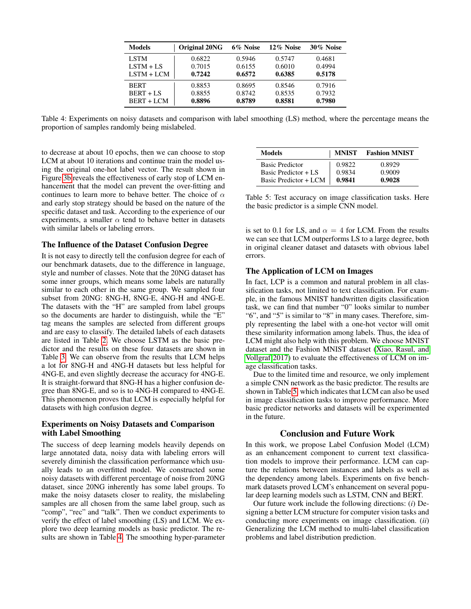| <b>Models</b> | Original 20NG | 6% Noise | 12% Noise | 30% Noise |
|---------------|---------------|----------|-----------|-----------|
| <b>LSTM</b>   | 0.6822        | 0.5946   | 0.5747    | 0.4681    |
| $LSTM + LS$   | 0.7015        | 0.6155   | 0.6010    | 0.4994    |
| $LSTM + LCM$  | 0.7242        | 0.6572   | 0.6385    | 0.5178    |
| <b>BERT</b>   | 0.8853        | 0.8695   | 0.8546    | 0.7916    |
| $BERT + LS$   | 0.8855        | 0.8742   | 0.8535    | 0.7932    |
| $BERT + LCM$  | 0.8896        | 0.8789   | 0.8581    | 0.7980    |

<span id="page-6-0"></span>Table 4: Experiments on noisy datasets and comparison with label smoothing (LS) method, where the percentage means the proportion of samples randomly being mislabeled.

to decrease at about 10 epochs, then we can choose to stop LCM at about 10 iterations and continue train the model using the original one-hot label vector. The result shown in Figure [3b](#page-4-1) reveals the effectiveness of early stop of LCM enhancement that the model can prevent the over-fitting and continues to learn more to behave better. The choice of  $\alpha$ and early stop strategy should be based on the nature of the specific dataset and task. According to the experience of our experiments, a smaller  $\alpha$  tend to behave better in datasets with similar labels or labeling errors.

## The Influence of the Dataset Confusion Degree

It is not easy to directly tell the confusion degree for each of our benchmark datasets, due to the difference in language, style and number of classes. Note that the 20NG dataset has some inner groups, which means some labels are naturally similar to each other in the same group. We sampled four subset from 20NG: 8NG-H, 8NG-E, 4NG-H and 4NG-E. The datasets with the "H" are sampled from label groups so the documents are harder to distinguish, while the "E" tag means the samples are selected from different groups and are easy to classify. The detailed labels of each datasets are listed in Table [2.](#page-5-0) We choose LSTM as the basic predictor and the results on these four datasets are shown in Table [3.](#page-5-1) We can observe from the results that LCM helps a lot for 8NG-H and 4NG-H datasets but less helpful for 4NG-E, and even slightly decrease the accuracy for 4NG-E. It is straight-forward that 8NG-H has a higher confusion degree than 8NG-E, and so is to 4NG-H compared to 4NG-E. This phenomenon proves that LCM is especially helpful for datasets with high confusion degree.

# Experiments on Noisy Datasets and Comparison with Label Smoothing

The success of deep learning models heavily depends on large annotated data, noisy data with labeling errors will severely diminish the classification performance which usually leads to an overfitted model. We constructed some noisy datasets with different percentage of noise from 20NG dataset, since 20NG inherently has some label groups. To make the noisy datasets closer to reality, the mislabeling samples are all chosen from the same label group, such as "comp", "rec" and "talk". Then we conduct experiments to verify the effect of label smoothing (LS) and LCM. We explore two deep learning models as basic predictor. The results are shown in Table [4.](#page-6-0) The smoothing hyper-parameter

<span id="page-6-1"></span>

| Models                 | <b>MNIST</b> | <b>Fashion MNIST</b> |
|------------------------|--------------|----------------------|
| <b>Basic Predictor</b> | 0.9822       | 0.8929               |
| Basic Predictor + LS   | 0.9834       | 0.9009               |
| Basic Predictor + LCM  | 0.9841       | 0.9028               |

Table 5: Test accuracy on image classification tasks. Here the basic predictor is a simple CNN model.

is set to 0.1 for LS, and  $\alpha = 4$  for LCM. From the results we can see that LCM outperforms LS to a large degree, both in original cleaner dataset and datasets with obvious label errors.

## The Application of LCM on Images

In fact, LCP is a common and natural problem in all classification tasks, not limited to text classification. For example, in the famous MNIST handwritten digits classification task, we can find that number "0" looks similar to number "6", and "5" is similar to "8" in many cases. Therefore, simply representing the label with a one-hot vector will omit these similarity information among labels. Thus, the idea of LCM might also help with this problem. We choose MNIST dataset and the Fashion MNIST dataset [\(Xiao, Rasul, and](#page-7-29) [Vollgraf 2017\)](#page-7-29) to evaluate the effectiveness of LCM on image classification tasks.

Due to the limited time and resource, we only implement a simple CNN network as the basic predictor. The results are shown in Table [5,](#page-6-1) which indicates that LCM can also be used in image classification tasks to improve performance. More basic predictor networks and datasets will be experimented in the future.

## Conclusion and Future Work

In this work, we propose Label Confusion Model (LCM) as an enhancement component to current text classification models to improve their performance. LCM can capture the relations between instances and labels as well as the dependency among labels. Experiments on five benchmark datasets proved LCM's enhancement on several popular deep learning models such as LSTM, CNN and BERT.

Our future work include the following directions: (*i*) Designing a better LCM structure for computer vision tasks and conducting more experiments on image classification. (*ii*) Generalizing the LCM method to multi-label classification problems and label distribution prediction.